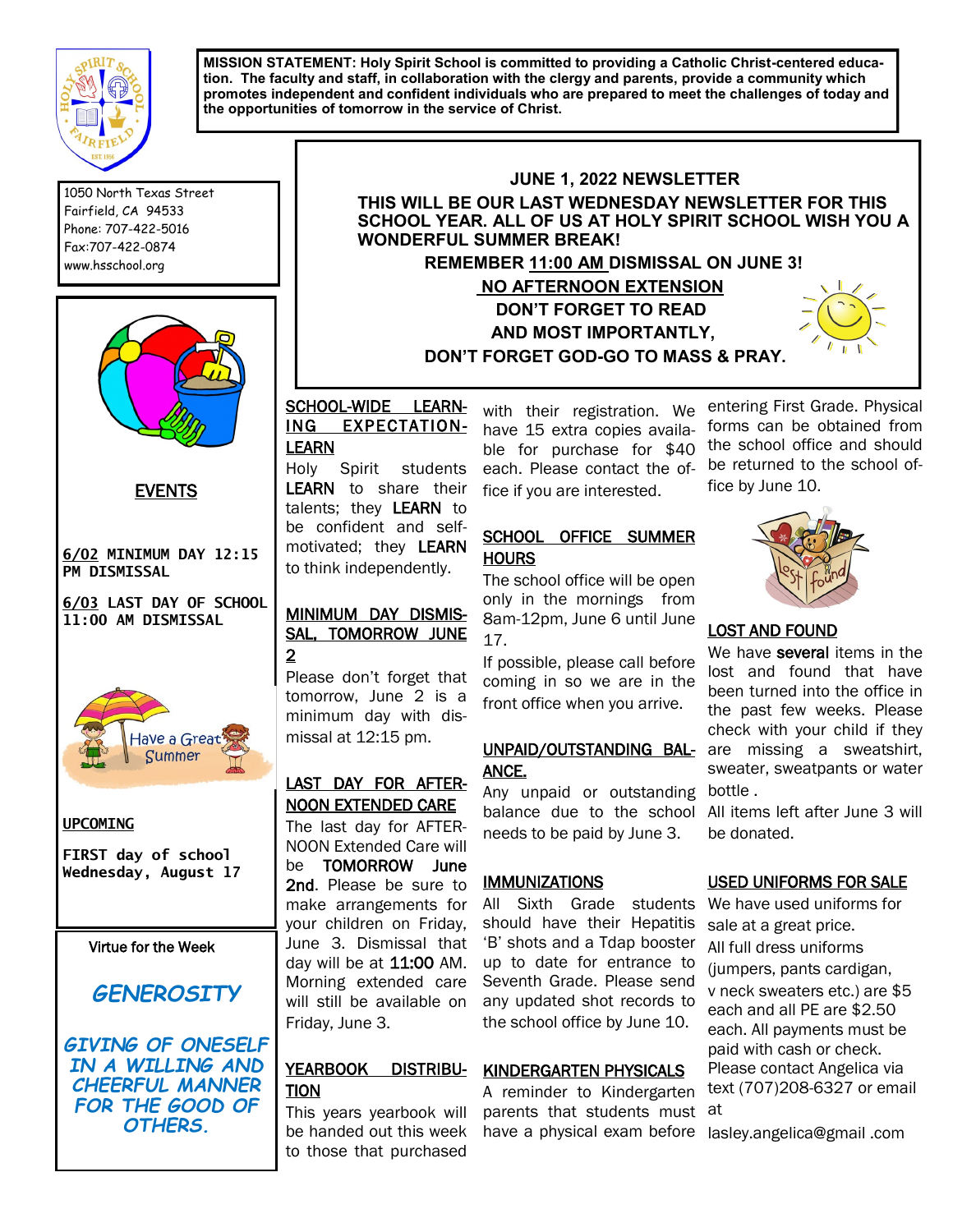

**MISSION STATEMENT: Holy Spirit School is committed to providing a Catholic Christ-centered education. The faculty and staff, in collaboration with the clergy and parents, provide a community which promotes independent and confident individuals who are prepared to meet the challenges of today and the opportunities of tomorrow in the service of Christ.** 

1050 North Texas Street Fairfield, CA 94533 Phone: 707-422-5016 Fax:707-422-0874 www.hsschool.org



EVENTS

**6/02 MINIMUM DAY 12:15 PM DISMISSAL** 

**6/03 LAST DAY OF SCHOOL 11:00 AM DISMISSAL**



#### **UPCOMING**

**FIRST day of school Wednesday, August 17**

Virtue for the Week

# *GENEROSITY*

*GIVING OF ONESELF IN A WILLING AND CHEERFUL MANNER*  **FOR THE GOOD OF** *OTHERS.*

# **JUNE 1, 2022 NEWSLETTER THIS WILL BE OUR LAST WEDNESDAY NEWSLETTER FOR THIS SCHOOL YEAR. ALL OF US AT HOLY SPIRIT SCHOOL WISH YOU A WONDERFUL SUMMER BREAK! REMEMBER 11:00 AM DISMISSAL ON JUNE 3! NO AFTERNOON EXTENSION DON'T FORGET TO READ AND MOST IMPORTANTLY, DON'T FORGET GOD-GO TO MASS & PRAY.**

# SCHOOL-WIDE LEARN-ING EXPECTATION-LEARN

Holy Spirit students LEARN to share their talents; they LEARN to be confident and selfmotivated; they LEARN to think independently.

# MINIMUM DAY DISMIS-SAL, TOMORROW JUNE 2

Please don't forget that tomorrow, June 2 is a minimum day with dismissal at 12:15 pm.

# LAST DAY FOR AFTER-NOON EXTENDED CARE

The last day for AFTER-NOON Extended Care will be TOMORROW June 2nd. Please be sure to make arrangements for your children on Friday, June 3. Dismissal that day will be at  $11:00$  AM. Morning extended care will still be available on Friday, June 3.

#### YEARBOOK TION

This years yearbook will be handed out this week to those that purchased

with their registration. We have 15 extra copies available for purchase for \$40 each. Please contact the office if you are interested.

# SCHOOL OFFICE SUMMER HOURS

The school office will be open only in the mornings from 8am-12pm, June 6 until June 17.

If possible, please call before coming in so we are in the front office when you arrive.

# ANCE.

Any unpaid or outstanding balance due to the school needs to be paid by June 3.

#### **IMMUNIZATIONS**

All Sixth Grade students should have their Hepatitis 'B' shots and a Tdap booster up to date for entrance to Seventh Grade. Please send any updated shot records to the school office by June 10.

# DISTRIBU- KINDERGARTEN PHYSICALS

A reminder to Kindergarten parents that students must at have a physical exam before lasley.angelica@gmail .com

entering First Grade. Physical forms can be obtained from the school office and should be returned to the school office by June 10.



#### LOST AND FOUND

UNPAID/OUTSTANDING BAL- are missing a sweatshirt, We have several items in the lost and found that have been turned into the office in the past few weeks. Please check with your child if they sweater, sweatpants or water bottle .

All items left after June 3 will be donated.

# USED UNIFORMS FOR SALE

We have used uniforms for sale at a great price. All full dress uniforms (jumpers, pants cardigan, v neck sweaters etc.) are \$5 each and all PE are \$2.50 each. All payments must be paid with cash or check. Please contact Angelica via text (707)208-6327 or email